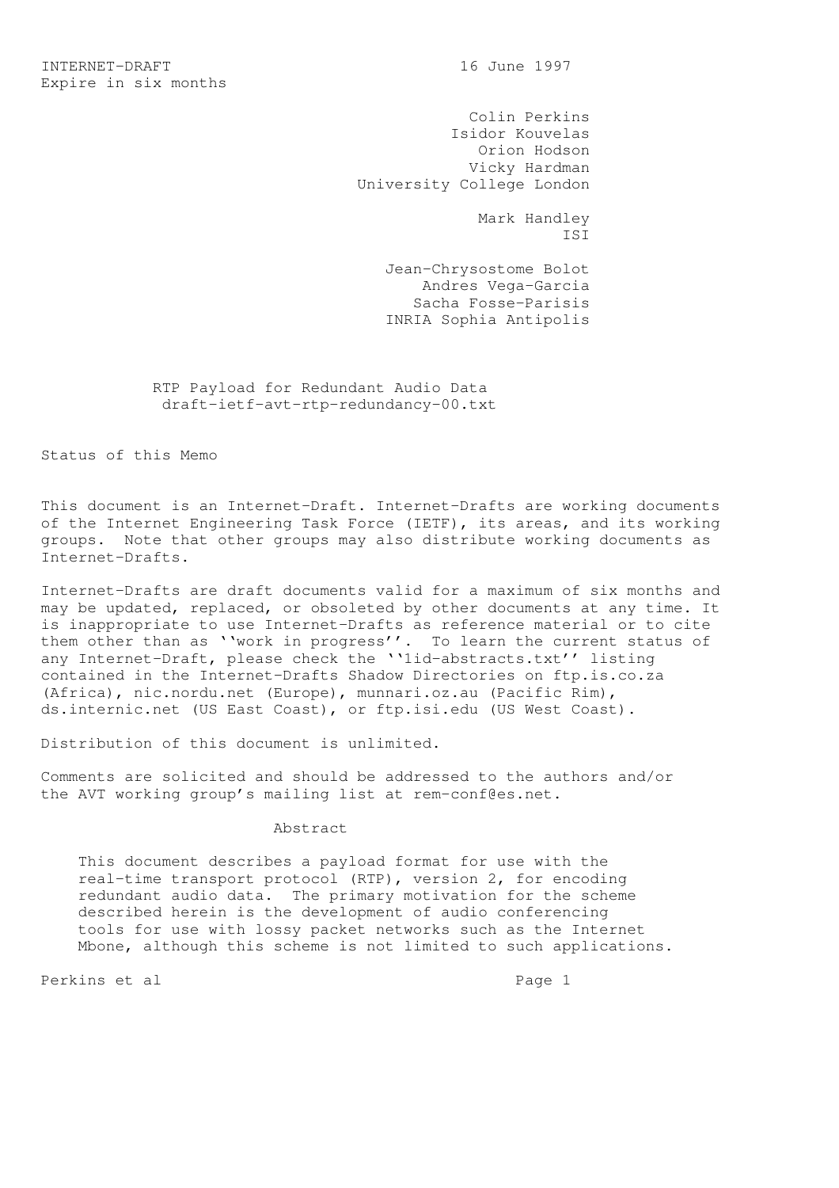Colin Perkins Isidor Kouvelas Orion Hodson Vicky Hardman University College London

 Mark Handley ISI

> Jean-Chrysostome Bolot Andres Vega-Garcia Sacha Fosse-Parisis INRIA Sophia Antipolis

 RTP Payload for Redundant Audio Data draft-ietf-avt-rtp-redundancy-00.txt

Status of this Memo

This document is an Internet-Draft. Internet-Drafts are working documents of the Internet Engineering Task Force (IETF), its areas, and its working groups. Note that other groups may also distribute working documents as Internet-Drafts.

Internet-Drafts are draft documents valid for a maximum of six months and may be updated, replaced, or obsoleted by other documents at any time. It is inappropriate to use Internet-Drafts as reference material or to cite them other than as ''work in progress''. To learn the current status of any Internet-Draft, please check the ''lid-abstracts.txt'' listing contained in the Internet-Drafts Shadow Directories on ftp.is.co.za (Africa), nic.nordu.net (Europe), munnari.oz.au (Pacific Rim), ds.internic.net (US East Coast), or ftp.isi.edu (US West Coast).

Distribution of this document is unlimited.

Comments are solicited and should be addressed to the authors and/or the AVT working group's mailing list at rem-conf@es.net.

## Abstract

 This document describes a payload format for use with the real-time transport protocol (RTP), version 2, for encoding redundant audio data. The primary motivation for the scheme described herein is the development of audio conferencing tools for use with lossy packet networks such as the Internet Mbone, although this scheme is not limited to such applications.

Perkins et al  $P^2$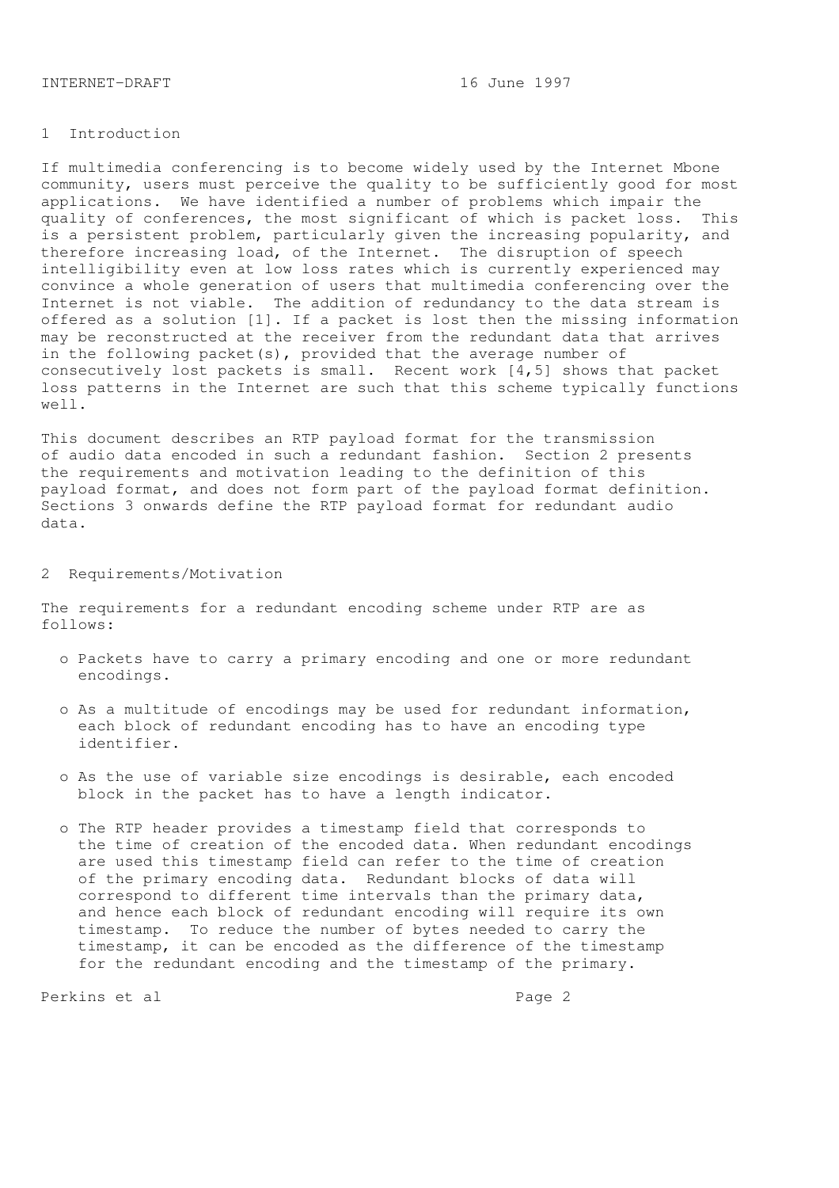### INTERNET-DRAFT 16 June 1997

### 1 Introduction

If multimedia conferencing is to become widely used by the Internet Mbone community, users must perceive the quality to be sufficiently good for most applications. We have identified a number of problems which impair the quality of conferences, the most significant of which is packet loss. This is a persistent problem, particularly given the increasing popularity, and therefore increasing load, of the Internet. The disruption of speech intelligibility even at low loss rates which is currently experienced may convince a whole generation of users that multimedia conferencing over the Internet is not viable. The addition of redundancy to the data stream is offered as a solution [1]. If a packet is lost then the missing information may be reconstructed at the receiver from the redundant data that arrives in the following packet(s), provided that the average number of consecutively lost packets is small. Recent work  $\begin{bmatrix} 4, 5 \end{bmatrix}$  shows that packet loss patterns in the Internet are such that this scheme typically functions well.

This document describes an RTP payload format for the transmission of audio data encoded in such a redundant fashion. Section 2 presents the requirements and motivation leading to the definition of this payload format, and does not form part of the payload format definition. Sections 3 onwards define the RTP payload format for redundant audio data.

#### 2 Requirements/Motivation

The requirements for a redundant encoding scheme under RTP are as follows:

- o Packets have to carry a primary encoding and one or more redundant encodings.
- o As a multitude of encodings may be used for redundant information, each block of redundant encoding has to have an encoding type identifier.
- o As the use of variable size encodings is desirable, each encoded block in the packet has to have a length indicator.
- o The RTP header provides a timestamp field that corresponds to the time of creation of the encoded data. When redundant encodings are used this timestamp field can refer to the time of creation of the primary encoding data. Redundant blocks of data will correspond to different time intervals than the primary data, and hence each block of redundant encoding will require its own timestamp. To reduce the number of bytes needed to carry the timestamp, it can be encoded as the difference of the timestamp for the redundant encoding and the timestamp of the primary.

Perkins et al en anders andere anders anders anders anders anders anders anders anders anders anders anders an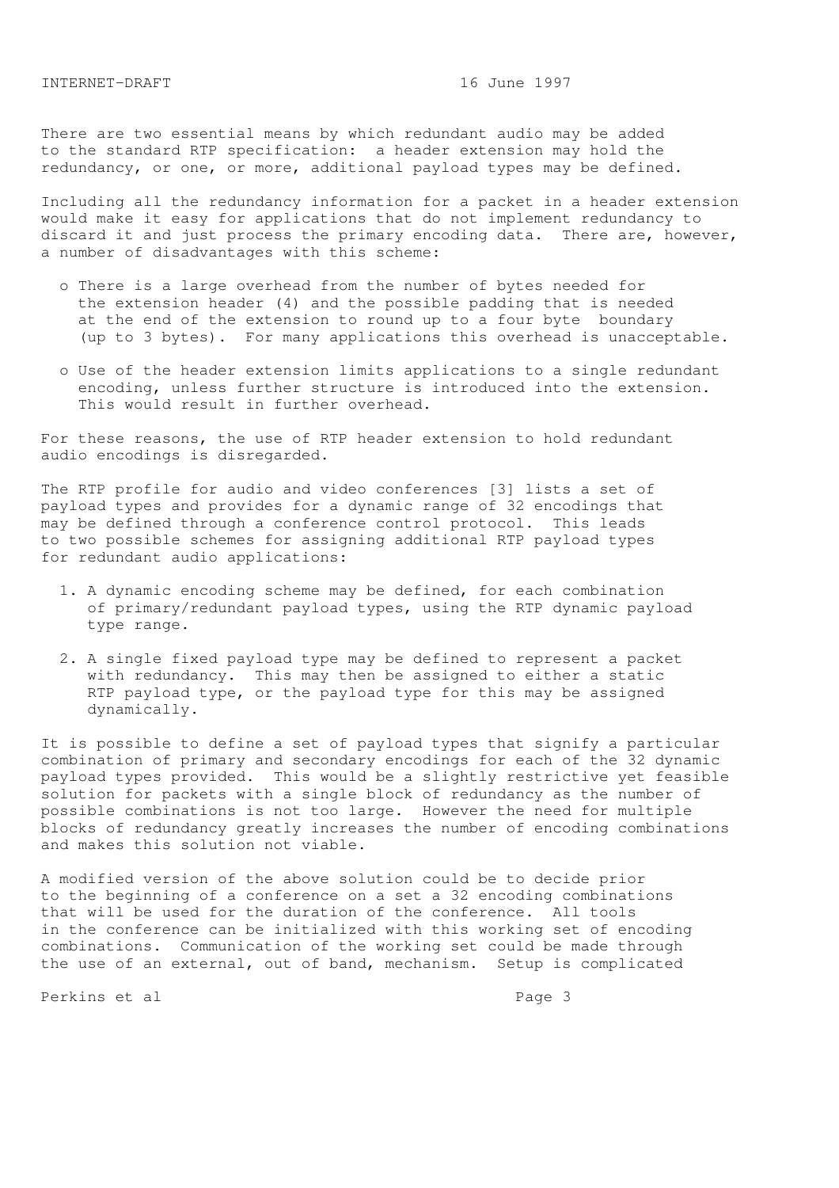There are two essential means by which redundant audio may be added to the standard RTP specification: a header extension may hold the redundancy, or one, or more, additional payload types may be defined.

Including all the redundancy information for a packet in a header extension would make it easy for applications that do not implement redundancy to discard it and just process the primary encoding data. There are, however, a number of disadvantages with this scheme:

- o There is a large overhead from the number of bytes needed for the extension header (4) and the possible padding that is needed at the end of the extension to round up to a four byte boundary (up to 3 bytes). For many applications this overhead is unacceptable.
- o Use of the header extension limits applications to a single redundant encoding, unless further structure is introduced into the extension. This would result in further overhead.

For these reasons, the use of RTP header extension to hold redundant audio encodings is disregarded.

The RTP profile for audio and video conferences [3] lists a set of payload types and provides for a dynamic range of 32 encodings that may be defined through a conference control protocol. This leads to two possible schemes for assigning additional RTP payload types for redundant audio applications:

- 1. A dynamic encoding scheme may be defined, for each combination of primary/redundant payload types, using the RTP dynamic payload type range.
- 2. A single fixed payload type may be defined to represent a packet with redundancy. This may then be assigned to either a static RTP payload type, or the payload type for this may be assigned dynamically.

It is possible to define a set of payload types that signify a particular combination of primary and secondary encodings for each of the 32 dynamic payload types provided. This would be a slightly restrictive yet feasible solution for packets with a single block of redundancy as the number of possible combinations is not too large. However the need for multiple blocks of redundancy greatly increases the number of encoding combinations and makes this solution not viable.

A modified version of the above solution could be to decide prior to the beginning of a conference on a set a 32 encoding combinations that will be used for the duration of the conference. All tools in the conference can be initialized with this working set of encoding combinations. Communication of the working set could be made through the use of an external, out of band, mechanism. Setup is complicated

Perkins et al entre and page 3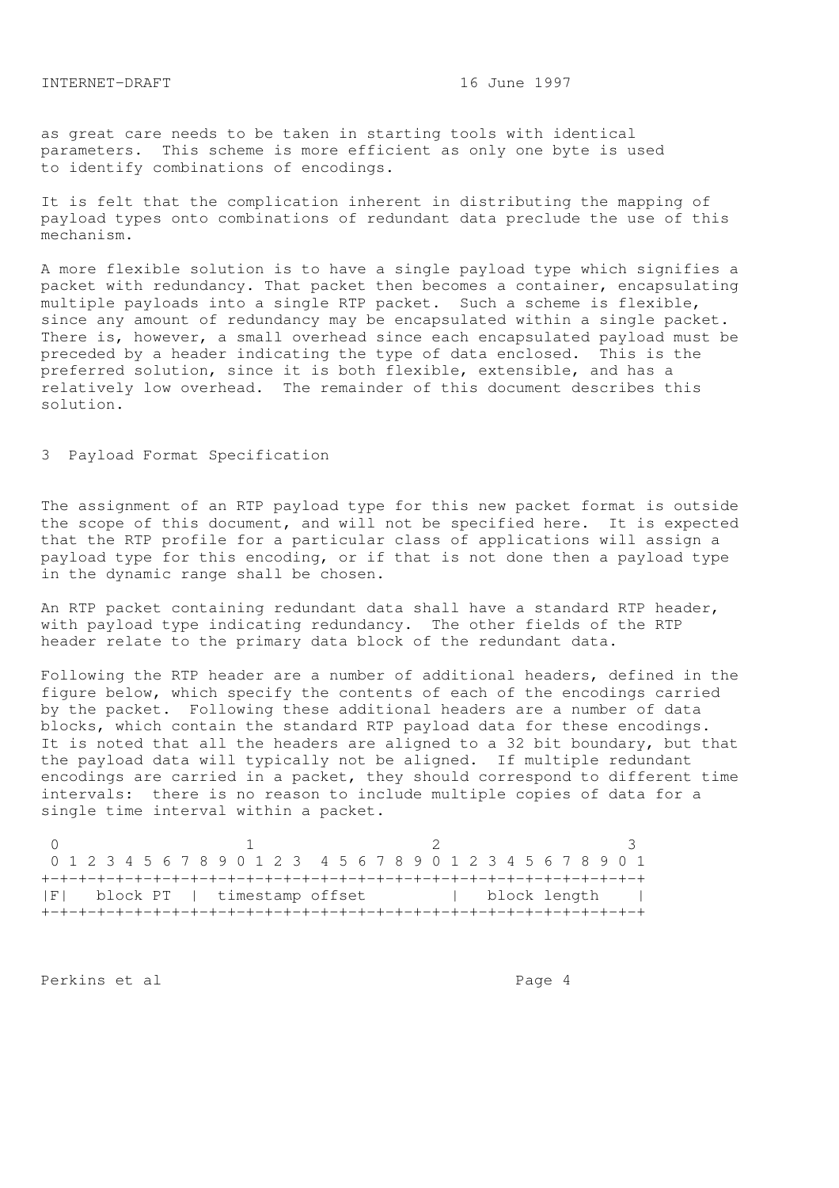as great care needs to be taken in starting tools with identical parameters. This scheme is more efficient as only one byte is used to identify combinations of encodings.

It is felt that the complication inherent in distributing the mapping of payload types onto combinations of redundant data preclude the use of this mechanism.

A more flexible solution is to have a single payload type which signifies a packet with redundancy. That packet then becomes a container, encapsulating multiple payloads into a single RTP packet. Such a scheme is flexible, since any amount of redundancy may be encapsulated within a single packet. There is, however, a small overhead since each encapsulated payload must be preceded by a header indicating the type of data enclosed. This is the preferred solution, since it is both flexible, extensible, and has a relatively low overhead. The remainder of this document describes this solution.

## 3 Payload Format Specification

The assignment of an RTP payload type for this new packet format is outside the scope of this document, and will not be specified here. It is expected that the RTP profile for a particular class of applications will assign a payload type for this encoding, or if that is not done then a payload type in the dynamic range shall be chosen.

An RTP packet containing redundant data shall have a standard RTP header, with payload type indicating redundancy. The other fields of the RTP header relate to the primary data block of the redundant data.

Following the RTP header are a number of additional headers, defined in the figure below, which specify the contents of each of the encodings carried by the packet. Following these additional headers are a number of data blocks, which contain the standard RTP payload data for these encodings. It is noted that all the headers are aligned to a 32 bit boundary, but that the payload data will typically not be aligned. If multiple redundant encodings are carried in a packet, they should correspond to different time intervals: there is no reason to include multiple copies of data for a single time interval within a packet.

 $0$  and  $1$  and  $2$  3 0 1 2 3 4 5 6 7 8 9 0 1 2 3 4 5 6 7 8 9 0 1 2 3 4 5 6 7 8 9 0 1 +-+-+-+-+-+-+-+-+-+-+-+-+-+-+-+-+-+-+-+-+-+-+-+-+-+-+-+-+-+-+-+-+ |F| block PT | timestamp offset | block length | +-+-+-+-+-+-+-+-+-+-+-+-+-+-+-+-+-+-+-+-+-+-+-+-+-+-+-+-+-+-+-+-+

Perkins et al  $P = 4$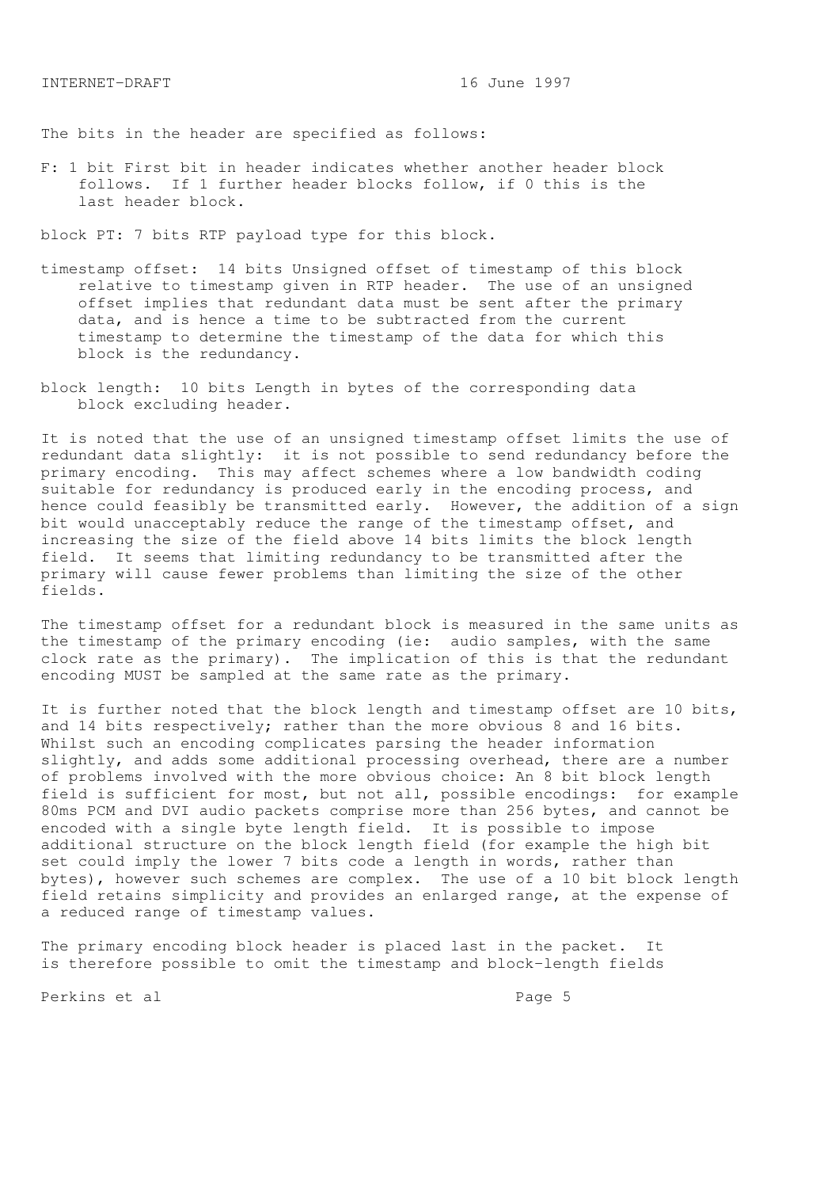The bits in the header are specified as follows:

F: 1 bit First bit in header indicates whether another header block follows. If 1 further header blocks follow, if 0 this is the last header block.

block PT: 7 bits RTP payload type for this block.

- timestamp offset: 14 bits Unsigned offset of timestamp of this block relative to timestamp given in RTP header. The use of an unsigned offset implies that redundant data must be sent after the primary data, and is hence a time to be subtracted from the current timestamp to determine the timestamp of the data for which this block is the redundancy.
- block length: 10 bits Length in bytes of the corresponding data block excluding header.

It is noted that the use of an unsigned timestamp offset limits the use of redundant data slightly: it is not possible to send redundancy before the primary encoding. This may affect schemes where a low bandwidth coding suitable for redundancy is produced early in the encoding process, and hence could feasibly be transmitted early. However, the addition of a sign bit would unacceptably reduce the range of the timestamp offset, and increasing the size of the field above 14 bits limits the block length field. It seems that limiting redundancy to be transmitted after the primary will cause fewer problems than limiting the size of the other fields.

The timestamp offset for a redundant block is measured in the same units as the timestamp of the primary encoding (ie: audio samples, with the same clock rate as the primary). The implication of this is that the redundant encoding MUST be sampled at the same rate as the primary.

It is further noted that the block length and timestamp offset are 10 bits, and 14 bits respectively; rather than the more obvious 8 and 16 bits. Whilst such an encoding complicates parsing the header information slightly, and adds some additional processing overhead, there are a number of problems involved with the more obvious choice: An 8 bit block length field is sufficient for most, but not all, possible encodings: for example 80ms PCM and DVI audio packets comprise more than 256 bytes, and cannot be encoded with a single byte length field. It is possible to impose additional structure on the block length field (for example the high bit set could imply the lower 7 bits code a length in words, rather than bytes), however such schemes are complex. The use of a 10 bit block length field retains simplicity and provides an enlarged range, at the expense of a reduced range of timestamp values.

The primary encoding block header is placed last in the packet. It is therefore possible to omit the timestamp and block-length fields

Perkins et al entre and page 5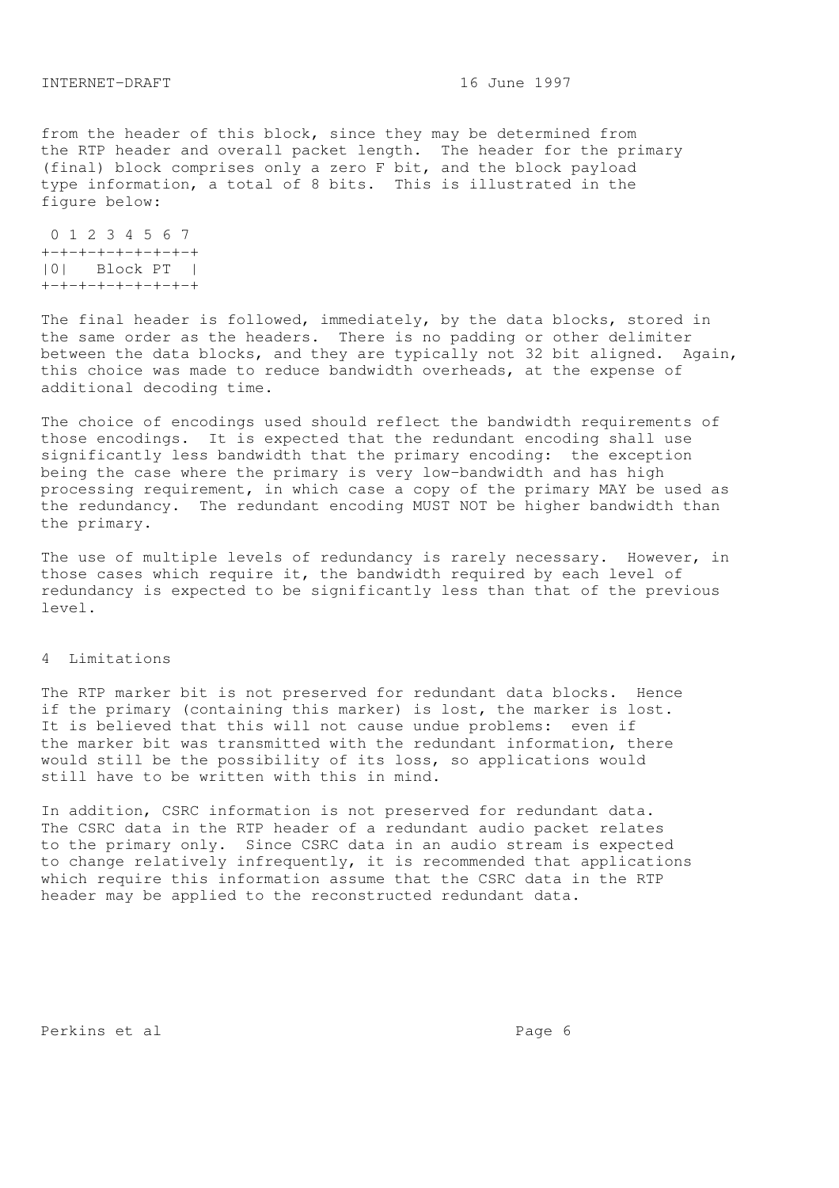from the header of this block, since they may be determined from the RTP header and overall packet length. The header for the primary (final) block comprises only a zero F bit, and the block payload type information, a total of 8 bits. This is illustrated in the figure below:

 0 1 2 3 4 5 6 7 +-+-+-+-+-+-+-+-+ |0| Block PT | +-+-+-+-+-+-+-+-+

The final header is followed, immediately, by the data blocks, stored in the same order as the headers. There is no padding or other delimiter between the data blocks, and they are typically not 32 bit aligned. Again, this choice was made to reduce bandwidth overheads, at the expense of additional decoding time.

The choice of encodings used should reflect the bandwidth requirements of those encodings. It is expected that the redundant encoding shall use significantly less bandwidth that the primary encoding: the exception being the case where the primary is very low-bandwidth and has high processing requirement, in which case a copy of the primary MAY be used as the redundancy. The redundant encoding MUST NOT be higher bandwidth than the primary.

The use of multiple levels of redundancy is rarely necessary. However, in those cases which require it, the bandwidth required by each level of redundancy is expected to be significantly less than that of the previous level.

### 4 Limitations

The RTP marker bit is not preserved for redundant data blocks. Hence if the primary (containing this marker) is lost, the marker is lost. It is believed that this will not cause undue problems: even if the marker bit was transmitted with the redundant information, there would still be the possibility of its loss, so applications would still have to be written with this in mind.

In addition, CSRC information is not preserved for redundant data. The CSRC data in the RTP header of a redundant audio packet relates to the primary only. Since CSRC data in an audio stream is expected to change relatively infrequently, it is recommended that applications which require this information assume that the CSRC data in the RTP header may be applied to the reconstructed redundant data.

Perkins et al  $P$ age 6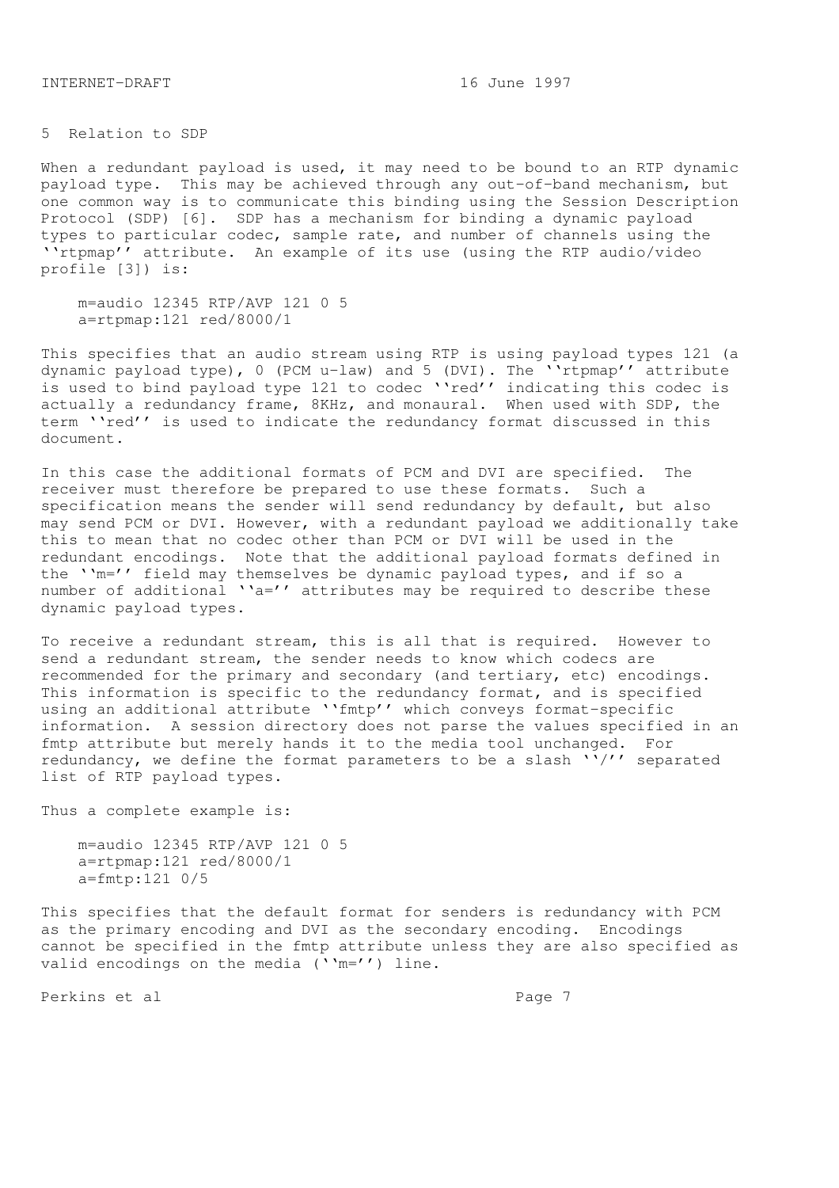INTERNET-DRAFT 16 June 1997

5 Relation to SDP

When a redundant payload is used, it may need to be bound to an RTP dynamic payload type. This may be achieved through any out-of-band mechanism, but one common way is to communicate this binding using the Session Description Protocol (SDP) [6]. SDP has a mechanism for binding a dynamic payload types to particular codec, sample rate, and number of channels using the ''rtpmap'' attribute. An example of its use (using the RTP audio/video profile [3]) is:

 m=audio 12345 RTP/AVP 121 0 5 a=rtpmap:121 red/8000/1

This specifies that an audio stream using RTP is using payload types 121 (a dynamic payload type), 0 (PCM u-law) and 5 (DVI). The ''rtpmap'' attribute is used to bind payload type 121 to codec "'red'' indicating this codec is actually a redundancy frame, 8KHz, and monaural. When used with SDP, the term ''red'' is used to indicate the redundancy format discussed in this document.

In this case the additional formats of PCM and DVI are specified. The receiver must therefore be prepared to use these formats. Such a specification means the sender will send redundancy by default, but also may send PCM or DVI. However, with a redundant payload we additionally take this to mean that no codec other than PCM or DVI will be used in the redundant encodings. Note that the additional payload formats defined in the ''m='' field may themselves be dynamic payload types, and if so a number of additional  $a = '$  attributes may be required to describe these dynamic payload types.

To receive a redundant stream, this is all that is required. However to send a redundant stream, the sender needs to know which codecs are recommended for the primary and secondary (and tertiary, etc) encodings. This information is specific to the redundancy format, and is specified using an additional attribute ''fmtp'' which conveys format-specific information. A session directory does not parse the values specified in an fmtp attribute but merely hands it to the media tool unchanged. For redundancy, we define the format parameters to be a slash  $''/'$  separated list of RTP payload types.

Thus a complete example is:

 m=audio 12345 RTP/AVP 121 0 5 a=rtpmap:121 red/8000/1 a=fmtp:121 0/5

This specifies that the default format for senders is redundancy with PCM as the primary encoding and DVI as the secondary encoding. Encodings cannot be specified in the fmtp attribute unless they are also specified as valid encodings on the media (''m='') line.

Perkins et al **Page 7**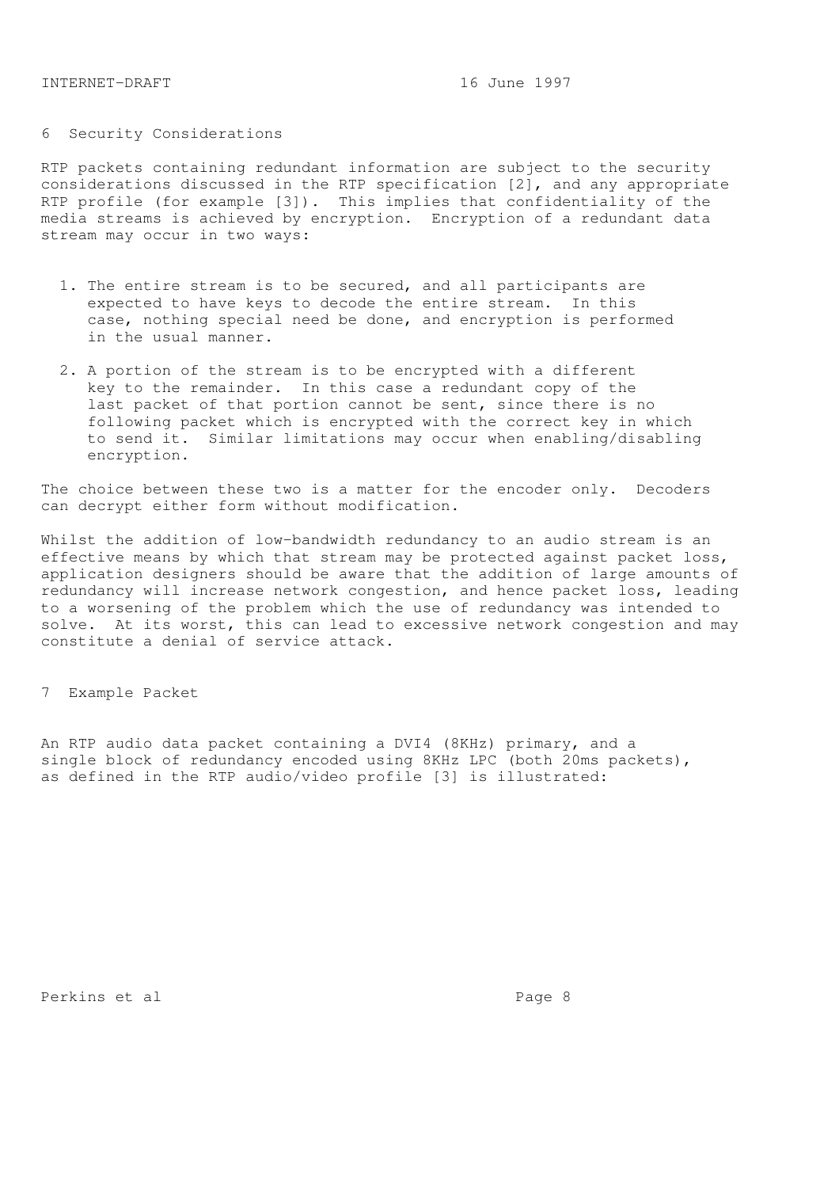# 6 Security Considerations

RTP packets containing redundant information are subject to the security considerations discussed in the RTP specification [2], and any appropriate RTP profile (for example [3]). This implies that confidentiality of the media streams is achieved by encryption. Encryption of a redundant data stream may occur in two ways:

- 1. The entire stream is to be secured, and all participants are expected to have keys to decode the entire stream. In this case, nothing special need be done, and encryption is performed in the usual manner.
- 2. A portion of the stream is to be encrypted with a different key to the remainder. In this case a redundant copy of the last packet of that portion cannot be sent, since there is no following packet which is encrypted with the correct key in which to send it. Similar limitations may occur when enabling/disabling encryption.

The choice between these two is a matter for the encoder only. Decoders can decrypt either form without modification.

Whilst the addition of low-bandwidth redundancy to an audio stream is an effective means by which that stream may be protected against packet loss, application designers should be aware that the addition of large amounts of redundancy will increase network congestion, and hence packet loss, leading to a worsening of the problem which the use of redundancy was intended to solve. At its worst, this can lead to excessive network congestion and may constitute a denial of service attack.

7 Example Packet

An RTP audio data packet containing a DVI4 (8KHz) primary, and a single block of redundancy encoded using 8KHz LPC (both 20ms packets), as defined in the RTP audio/video profile [3] is illustrated:

Perkins et al en anders andere anders anders anders anders anders anders anders anders anders anders anders an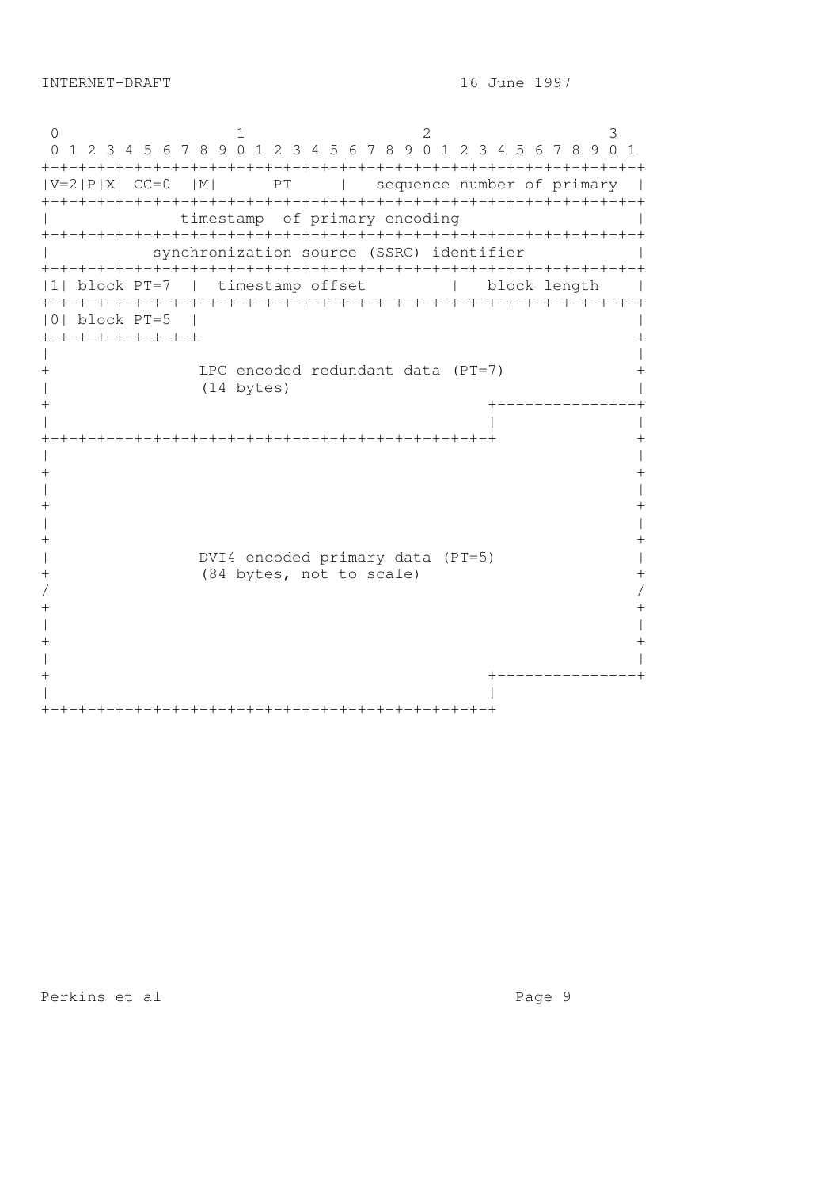0 1 2 3 0 1 2 3 4 5 6 7 8 9 0 1 2 3 4 5 6 7 8 9 0 1 2 3 4 5 6 7 8 9 0 1 +-+-+-+-+-+-+-+-+-+-+-+-+-+-+-+-+-+-+-+-+-+-+-+-+-+-+-+-+-+-+-+-+  $|V=2|P|X|$  CC=0  $|M|$  PT | sequence number of primary | +-+-+-+-+-+-+-+-+-+-+-+-+-+-+-+-+-+-+-+-+-+-+-+-+-+-+-+-+-+-+-+-+ timestamp of primary encoding  $|$ +-+-+-+-+-+-+-+-+-+-+-+-+-+-+-+-+-+-+-+-+-+-+-+-+-+-+-+-+-+-+-+-+ | synchronization source (SSRC) identifier | +-+-+-+-+-+-+-+-+-+-+-+-+-+-+-+-+-+-+-+-+-+-+-+-+-+-+-+-+-+-+-+-+ |1| block PT=7 | timestamp offset | block length | +-+-+-+-+-+-+-+-+-+-+-+-+-+-+-+-+-+-+-+-+-+-+-+-+-+-+-+-+-+-+-+-+ |0| block PT=5 | | +-+-+-+-+-+-+-+-+ + | | + LPC encoded redundant data (PT=7) + | (14 bytes) | + +---------------+ | | | +-+-+-+-+-+-+-+-+-+-+-+-+-+-+-+-+-+-+-+-+-+-+-+-+ + | |  $+$ | |  $+$ | |  $+$ | DVI4 encoded primary data (PT=5) | + (84 bytes, not to scale) +  $/$  $+$ | |  $+$ | | + +---------------+ | | +-+-+-+-+-+-+-+-+-+-+-+-+-+-+-+-+-+-+-+-+-+-+-+-+

Perkins et al entre and page 9